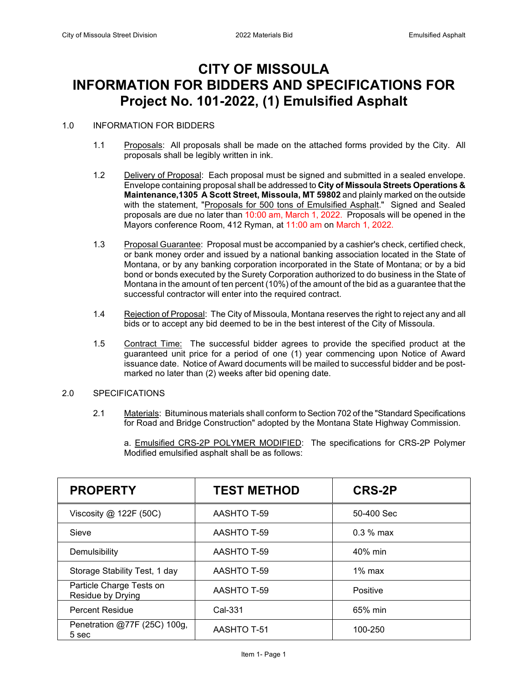# **CITY OF MISSOULA INFORMATION FOR BIDDERS AND SPECIFICATIONS FOR Project No. 101-2022, (1) Emulsified Asphalt**

#### 1.0 INFORMATION FOR BIDDERS

- 1.1 Proposals: All proposals shall be made on the attached forms provided by the City. All proposals shall be legibly written in ink.
- 1.2 Delivery of Proposal: Each proposal must be signed and submitted in a sealed envelope. Envelope containing proposal shall be addressed to **City of Missoula Streets Operations & Maintenance,1305 A Scott Street, Missoula, MT 59802** and plainly marked on the outside with the statement, "Proposals for 500 tons of Emulsified Asphalt." Signed and Sealed proposals are due no later than 10:00 am, March 1, 2022. Proposals will be opened in the Mayors conference Room, 412 Ryman, at 11:00 am on March 1, 2022.
- 1.3 Proposal Guarantee: Proposal must be accompanied by a cashier's check, certified check, or bank money order and issued by a national banking association located in the State of Montana, or by any banking corporation incorporated in the State of Montana; or by a bid bond or bonds executed by the Surety Corporation authorized to do business in the State of Montana in the amount of ten percent (10%) of the amount of the bid as a guarantee that the successful contractor will enter into the required contract.
- 1.4 Rejection of Proposal: The City of Missoula, Montana reserves the right to reject any and all bids or to accept any bid deemed to be in the best interest of the City of Missoula.
- 1.5 Contract Time: The successful bidder agrees to provide the specified product at the guaranteed unit price for a period of one (1) year commencing upon Notice of Award issuance date. Notice of Award documents will be mailed to successful bidder and be postmarked no later than (2) weeks after bid opening date.

#### 2.0 SPECIFICATIONS

2.1 Materials: Bituminous materials shall conform to Section 702 of the "Standard Specifications for Road and Bridge Construction" adopted by the Montana State Highway Commission.

a. Emulsified CRS-2P POLYMER MODIFIED: The specifications for CRS-2P Polymer Modified emulsified asphalt shall be as follows:

| <b>PROPERTY</b>                               | <b>TEST METHOD</b> | <b>CRS-2P</b> |
|-----------------------------------------------|--------------------|---------------|
| Viscosity $@$ 122F (50C)                      | AASHTO T-59        | 50-400 Sec    |
| Sieve                                         | AASHTO T-59        | $0.3\%$ max   |
| Demulsibility                                 | AASHTO T-59        | 40% min       |
| Storage Stability Test, 1 day                 | AASHTO T-59        | $1\%$ max     |
| Particle Charge Tests on<br>Residue by Drying | AASHTO T-59        | Positive      |
| <b>Percent Residue</b>                        | Cal-331            | 65% min       |
| Penetration @77F (25C) 100g,<br>5 sec         | AASHTO T-51        | 100-250       |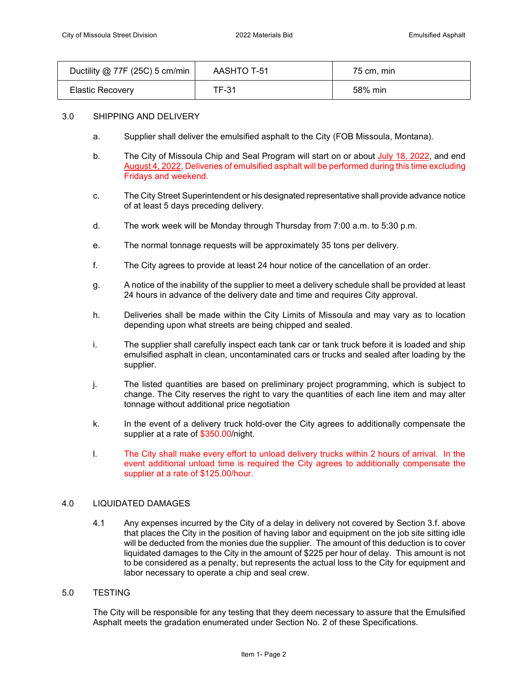| Ductility @ 77F (25C) 5 cm/min | AASHTO T-51 | 75 cm. min |
|--------------------------------|-------------|------------|
| <b>Elastic Recovery</b>        | TF-31       | 58% min    |

#### 3.0 SHIPPING AND DELIVERY

- a. Supplier shall deliver the emulsified asphalt to the City (FOB Missoula, Montana).
- b. The City of Missoula Chip and Seal Program will start on or about July 18, 2022, and end August 4, 2022, Deliveries of emulsified asphalt will be performed during this time excluding Fridays and weekend.
- c. The City Street Superintendent or his designated representative shall provide advance notice of at least 5 days preceding delivery.
- d. The work week will be Monday through Thursday from 7:00 a.m. to 5:30 p.m.
- e. The normal tonnage requests will be approximately 35 tons per delivery.
- f. The City agrees to provide at least 24 hour notice of the cancellation of an order.
- g. A notice of the inability of the supplier to meet a delivery schedule shall be provided at least 24 hours in advance of the delivery date and time and requires City approval.
- h. Deliveries shall be made within the City Limits of Missoula and may vary as to location depending upon what streets are being chipped and sealed.
- i. The supplier shall carefully inspect each tank car or tank truck before it is loaded and ship emulsified asphalt in clean, uncontaminated cars or trucks and sealed after loading by the supplier.
- j. The listed quantities are based on preliminary project programming, which is subject to change. The City reserves the right to vary the quantities of each line item and may alter tonnage without additional price negotiation
- k. In the event of a delivery truck hold-over the City agrees to additionally compensate the supplier at a rate of \$350.00/night.
- l. The City shall make every effort to unload delivery trucks within 2 hours of arrival. In the event additional unload time is required the City agrees to additionally compensate the supplier at a rate of \$125.00/hour.

#### 4.0 LIQUIDATED DAMAGES

- 4.1 Any expenses incurred by the City of a delay in delivery not covered by Section 3.f. above that places the City in the position of having labor and equipment on the job site sitting idle will be deducted from the monies due the supplier. The amount of this deduction is to cover liquidated damages to the City in the amount of \$225 per hour of delay. This amount is not to be considered as a penalty, but represents the actual loss to the City for equipment and labor necessary to operate a chip and seal crew.
- 5.0 TESTING

The City will be responsible for any testing that they deem necessary to assure that the Emulsified Asphalt meets the gradation enumerated under Section No. 2 of these Specifications.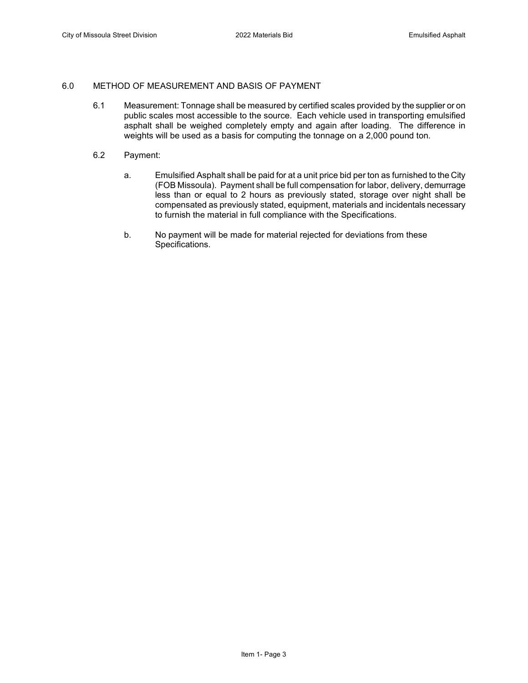#### 6.0 METHOD OF MEASUREMENT AND BASIS OF PAYMENT

- 6.1 Measurement: Tonnage shall be measured by certified scales provided by the supplier or on public scales most accessible to the source. Each vehicle used in transporting emulsified asphalt shall be weighed completely empty and again after loading. The difference in weights will be used as a basis for computing the tonnage on a 2,000 pound ton.
- 6.2 Payment:
	- a. Emulsified Asphalt shall be paid for at a unit price bid per ton as furnished to the City (FOB Missoula). Payment shall be full compensation for labor, delivery, demurrage less than or equal to 2 hours as previously stated, storage over night shall be compensated as previously stated, equipment, materials and incidentals necessary to furnish the material in full compliance with the Specifications.
	- b. No payment will be made for material rejected for deviations from these Specifications.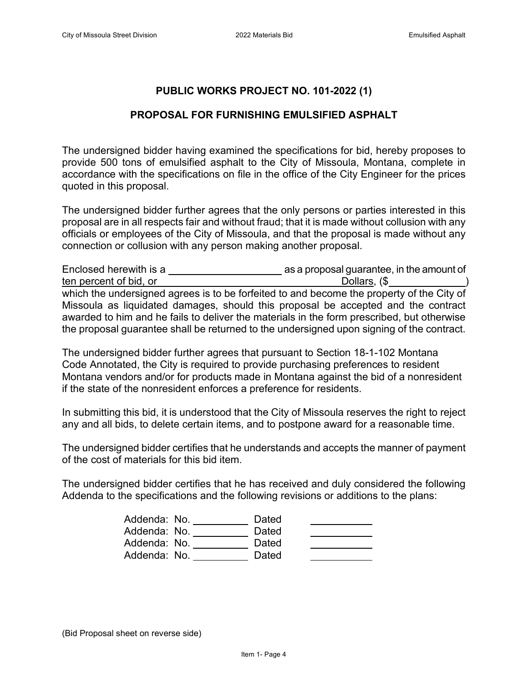## **PUBLIC WORKS PROJECT NO. 101-2022 (1)**

### **PROPOSAL FOR FURNISHING EMULSIFIED ASPHALT**

The undersigned bidder having examined the specifications for bid, hereby proposes to provide 500 tons of emulsified asphalt to the City of Missoula, Montana, complete in accordance with the specifications on file in the office of the City Engineer for the prices quoted in this proposal.

The undersigned bidder further agrees that the only persons or parties interested in this proposal are in all respects fair and without fraud; that it is made without collusion with any officials or employees of the City of Missoula, and that the proposal is made without any connection or collusion with any person making another proposal.

| Enclosed herewith is a                                                                     | as a proposal guarantee, in the amount of |
|--------------------------------------------------------------------------------------------|-------------------------------------------|
| ten percent of bid, or                                                                     | Dollars, (\$                              |
| which the undersigned agrees is to be forfeited to and become the property of the City of  |                                           |
| Missoula as liquidated damages, should this proposal be accepted and the contract          |                                           |
| awarded to him and he fails to deliver the materials in the form prescribed, but otherwise |                                           |
| the proposal guarantee shall be returned to the undersigned upon signing of the contract.  |                                           |

The undersigned bidder further agrees that pursuant to Section 18-1-102 Montana Code Annotated, the City is required to provide purchasing preferences to resident Montana vendors and/or for products made in Montana against the bid of a nonresident if the state of the nonresident enforces a preference for residents.

In submitting this bid, it is understood that the City of Missoula reserves the right to reject any and all bids, to delete certain items, and to postpone award for a reasonable time.

The undersigned bidder certifies that he understands and accepts the manner of payment of the cost of materials for this bid item.

The undersigned bidder certifies that he has received and duly considered the following Addenda to the specifications and the following revisions or additions to the plans:

| Addenda: No. | Dated |  |
|--------------|-------|--|
| Addenda: No. | Dated |  |
| Addenda: No. | Dated |  |
| Addenda: No. | Dated |  |